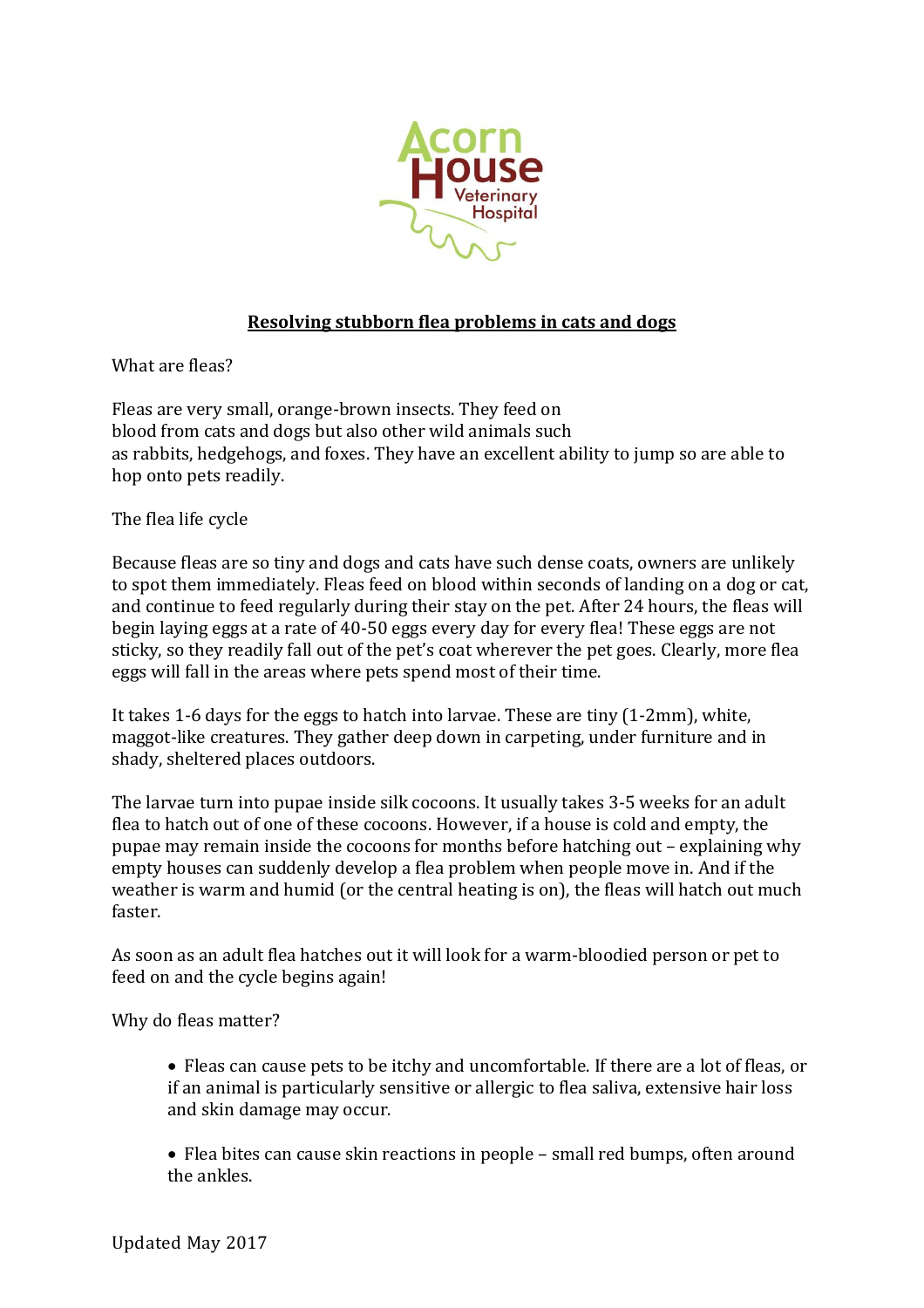

## **Resolving stubborn flea problems in cats and dogs**

What are fleas?

Fleas are very small, orange-brown insects. They feed on blood from cats and dogs but also other wild animals such as rabbits, hedgehogs, and foxes. They have an excellent ability to jump so are able to hop onto pets readily.

The flea life cycle

Because fleas are so tiny and dogs and cats have such dense coats, owners are unlikely to spot them immediately. Fleas feed on blood within seconds of landing on a dog or cat, and continue to feed regularly during their stay on the pet. After 24 hours, the fleas will begin laying eggs at a rate of 40-50 eggs every day for every flea! These eggs are not sticky, so they readily fall out of the pet's coat wherever the pet goes. Clearly, more flea eggs will fall in the areas where pets spend most of their time.

It takes 1-6 days for the eggs to hatch into larvae. These are tiny (1-2mm), white, maggot-like creatures. They gather deep down in carpeting, under furniture and in shady, sheltered places outdoors.

The larvae turn into pupae inside silk cocoons. It usually takes 3-5 weeks for an adult flea to hatch out of one of these cocoons. However, if a house is cold and empty, the pupae may remain inside the cocoons for months before hatching out – explaining why empty houses can suddenly develop a flea problem when people move in. And if the weather is warm and humid (or the central heating is on), the fleas will hatch out much faster.

As soon as an adult flea hatches out it will look for a warm-bloodied person or pet to feed on and the cycle begins again!

Why do fleas matter?

• Fleas can cause pets to be itchy and uncomfortable. If there are a lot of fleas, or if an animal is particularly sensitive or allergic to flea saliva, extensive hair loss and skin damage may occur.

• Flea bites can cause skin reactions in people – small red bumps, often around the ankles.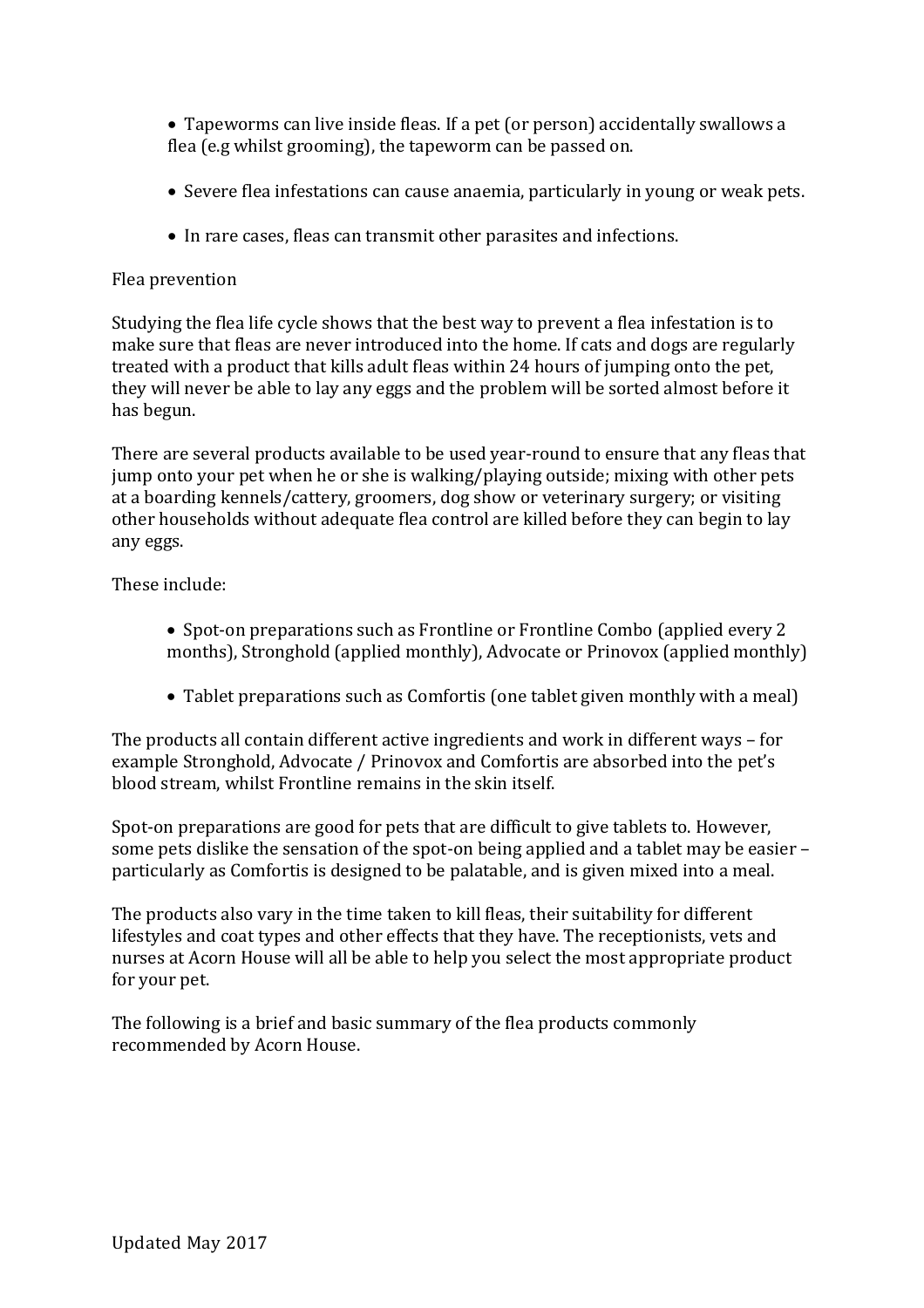• Tapeworms can live inside fleas. If a pet (or person) accidentally swallows a flea (e.g whilst grooming), the tapeworm can be passed on.

- Severe flea infestations can cause anaemia, particularly in young or weak pets.
- In rare cases, fleas can transmit other parasites and infections.

## Flea prevention

Studying the flea life cycle shows that the best way to prevent a flea infestation is to make sure that fleas are never introduced into the home. If cats and dogs are regularly treated with a product that kills adult fleas within 24 hours of jumping onto the pet, they will never be able to lay any eggs and the problem will be sorted almost before it has begun.

There are several products available to be used year-round to ensure that any fleas that jump onto your pet when he or she is walking/playing outside; mixing with other pets at a boarding kennels/cattery, groomers, dog show or veterinary surgery; or visiting other households without adequate flea control are killed before they can begin to lay any eggs.

These include:

- Spot-on preparations such as Frontline or Frontline Combo (applied every 2) months), Stronghold (applied monthly), Advocate or Prinovox (applied monthly)
- Tablet preparations such as Comfortis (one tablet given monthly with a meal)

The products all contain different active ingredients and work in different ways – for example Stronghold, Advocate / Prinovox and Comfortis are absorbed into the pet's blood stream, whilst Frontline remains in the skin itself.

Spot-on preparations are good for pets that are difficult to give tablets to. However, some pets dislike the sensation of the spot-on being applied and a tablet may be easier – particularly as Comfortis is designed to be palatable, and is given mixed into a meal.

The products also vary in the time taken to kill fleas, their suitability for different lifestyles and coat types and other effects that they have. The receptionists, vets and nurses at Acorn House will all be able to help you select the most appropriate product for your pet.

The following is a brief and basic summary of the flea products commonly recommended by Acorn House.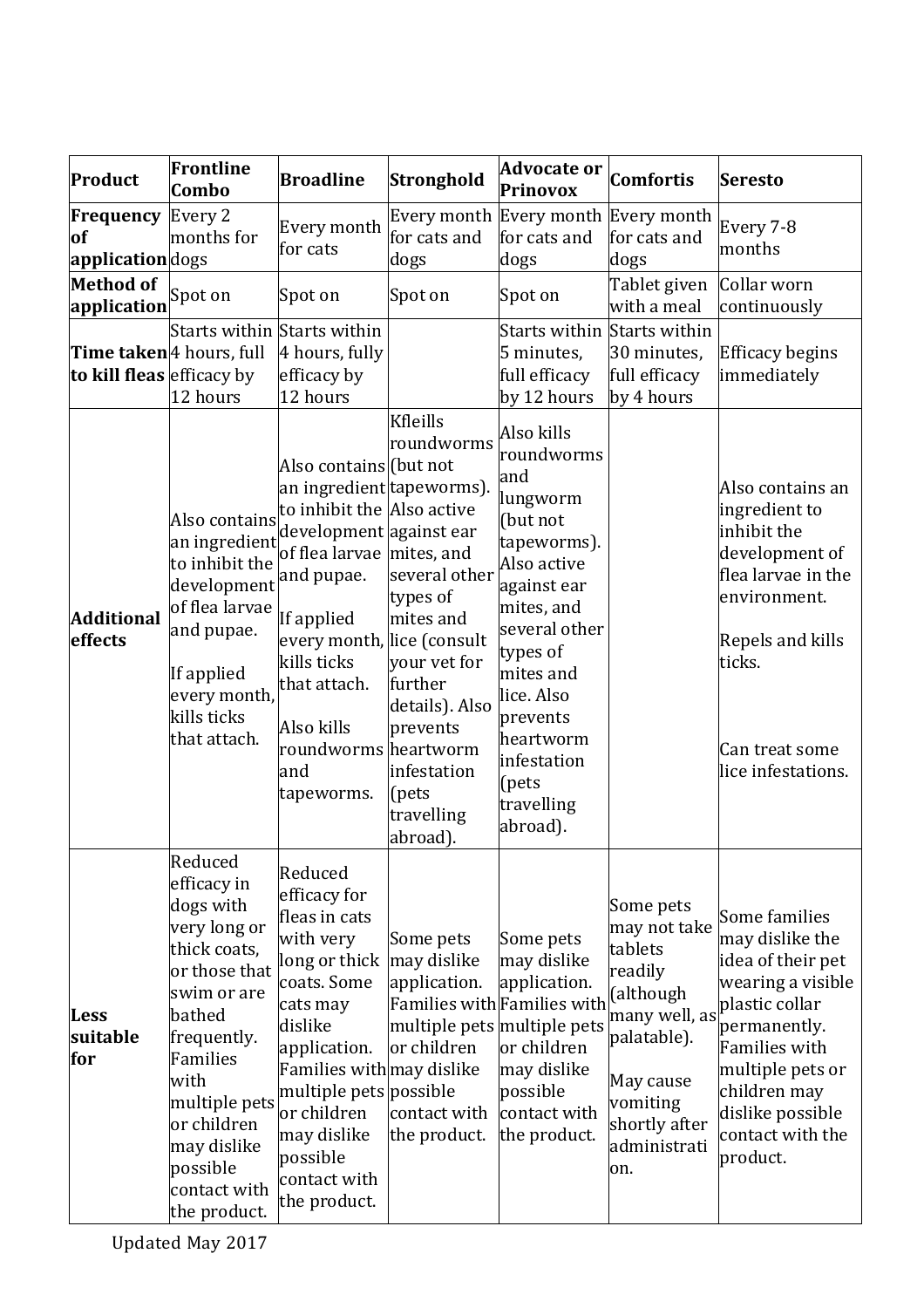| Product                                               | Frontline<br>Combo                                                                                                                                                                                                                          | <b>Broadline</b>                                                                                                                                                                                                                                                                | Stronghold                                                                                                                                                                                  | <b>Advocate or</b><br>Prinovox                                                                                                                                                                                                                        | <b>Comfortis</b>                                                                                                                                                                          | Seresto                                                                                                                                                                                                                      |
|-------------------------------------------------------|---------------------------------------------------------------------------------------------------------------------------------------------------------------------------------------------------------------------------------------------|---------------------------------------------------------------------------------------------------------------------------------------------------------------------------------------------------------------------------------------------------------------------------------|---------------------------------------------------------------------------------------------------------------------------------------------------------------------------------------------|-------------------------------------------------------------------------------------------------------------------------------------------------------------------------------------------------------------------------------------------------------|-------------------------------------------------------------------------------------------------------------------------------------------------------------------------------------------|------------------------------------------------------------------------------------------------------------------------------------------------------------------------------------------------------------------------------|
| Frequency<br>of<br>applicationdogs                    | Every 2<br>months for                                                                                                                                                                                                                       | Every month<br>for cats                                                                                                                                                                                                                                                         | Every month<br>for cats and<br>dogs                                                                                                                                                         | Every month Every month<br>for cats and<br>dogs                                                                                                                                                                                                       | for cats and<br>dogs                                                                                                                                                                      | Every 7-8<br>months                                                                                                                                                                                                          |
| <b>Method of</b><br>application Spot on               |                                                                                                                                                                                                                                             | Spot on                                                                                                                                                                                                                                                                         | Spot on                                                                                                                                                                                     | Spot on                                                                                                                                                                                                                                               | Tablet given<br>with a meal                                                                                                                                                               | Collar worn<br>continuously                                                                                                                                                                                                  |
| Time taken 4 hours, full<br>to kill fleas efficacy by | Starts within Starts within<br>12 hours                                                                                                                                                                                                     | 4 hours, fully<br>efficacy by<br>12 hours                                                                                                                                                                                                                                       |                                                                                                                                                                                             | Starts within Starts within<br>5 minutes,<br>full efficacy<br>by 12 hours                                                                                                                                                                             | 30 minutes,<br>full efficacy<br>by 4 hours                                                                                                                                                | Efficacy begins<br>immediately                                                                                                                                                                                               |
| <b>Additional</b><br>effects                          | Also contains<br>an ingredient<br>to inhibit the<br>development and pupae.<br>of flea larvae<br>and pupae.<br>If applied<br>every month,<br>kills ticks<br>that attach.                                                                     | Also contains (but not<br>an ingredient tapeworms).<br>to inhibit the Also active<br>development against ear<br>of flea larvae mites, and<br>If applied<br>every month, lice (consult<br>kills ticks<br>that attach.<br>Also kills<br>roundworms heartworm<br>and<br>tapeworms. | <b>Kfleills</b><br>roundworms<br>several other<br>types of<br>mites and<br>your vet for<br>further<br>details). Also<br>prevents<br>infestation<br>$[{\rm pets}]$<br>travelling<br>abroad). | Also kills<br>roundworms<br>and<br>lungworm<br>(but not<br>tapeworms).<br>Also active<br>against ear<br>mites, and<br>several other<br>types of<br>mites and<br>lice. Also<br>prevents<br>heartworm<br>infestation<br>(pets<br>travelling<br>abroad). |                                                                                                                                                                                           | Also contains an<br>ingredient to<br>inhibit the<br>development of<br>flea larvae in the<br>environment.<br>Repels and kills<br>ticks.<br>Can treat some<br>lice infestations.                                               |
| <b>Less</b><br>suitable<br>for                        | Reduced<br>efficacy in<br>dogs with<br>very long or<br>thick coats,<br>or those that<br>swim or are<br>bathed<br>frequently.<br>Families<br>with<br>multiple pets<br>or children<br>may dislike<br>possible<br>contact with<br>the product. | Reduced<br>efficacy for<br>fleas in cats<br>with very<br>long or thick<br>coats. Some<br>cats may<br>dislike<br>application.<br>Families with may dislike<br>multiple pets possible<br>or children<br>may dislike<br>possible<br>contact with<br>the product.                   | Some pets<br>may dislike<br>application.<br>or children<br>contact with<br>the product.                                                                                                     | Some pets<br>may dislike<br>application.<br>Families with Families with<br>or children<br>may dislike<br>possible<br>contact with<br>the product.                                                                                                     | Some pets<br>may not take<br>tablets<br>readily<br>(although<br>multiple pets multiple pets many well, as<br>palatable).<br>May cause<br>vomiting<br>shortly after<br>administrati<br>on. | Some families<br>may dislike the<br>idea of their pet<br>wearing a visible<br>plastic collar<br>permanently.<br><b>Families with</b><br>multiple pets or<br>children may<br>dislike possible<br>contact with the<br>product. |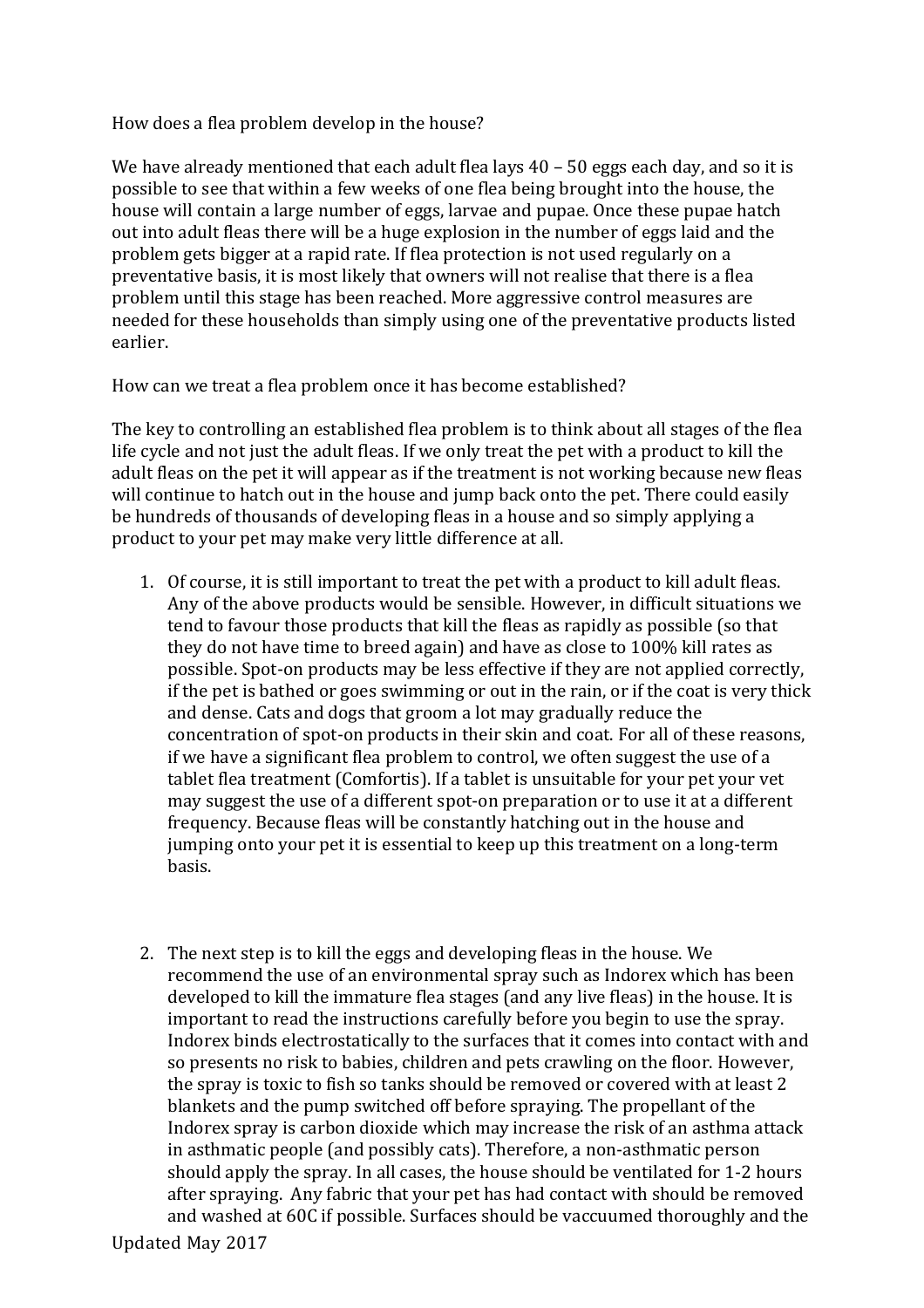How does a flea problem develop in the house?

We have already mentioned that each adult flea lays 40 – 50 eggs each day, and so it is possible to see that within a few weeks of one flea being brought into the house, the house will contain a large number of eggs, larvae and pupae. Once these pupae hatch out into adult fleas there will be a huge explosion in the number of eggs laid and the problem gets bigger at a rapid rate. If flea protection is not used regularly on a preventative basis, it is most likely that owners will not realise that there is a flea problem until this stage has been reached. More aggressive control measures are needed for these households than simply using one of the preventative products listed earlier.

How can we treat a flea problem once it has become established?

The key to controlling an established flea problem is to think about all stages of the flea life cycle and not just the adult fleas. If we only treat the pet with a product to kill the adult fleas on the pet it will appear as if the treatment is not working because new fleas will continue to hatch out in the house and jump back onto the pet. There could easily be hundreds of thousands of developing fleas in a house and so simply applying a product to your pet may make very little difference at all.

- 1. Of course, it is still important to treat the pet with a product to kill adult fleas. Any of the above products would be sensible. However, in difficult situations we tend to favour those products that kill the fleas as rapidly as possible (so that they do not have time to breed again) and have as close to 100% kill rates as possible. Spot-on products may be less effective if they are not applied correctly, if the pet is bathed or goes swimming or out in the rain, or if the coat is very thick and dense. Cats and dogs that groom a lot may gradually reduce the concentration of spot-on products in their skin and coat. For all of these reasons, if we have a significant flea problem to control, we often suggest the use of a tablet flea treatment (Comfortis). If a tablet is unsuitable for your pet your vet may suggest the use of a different spot-on preparation or to use it at a different frequency. Because fleas will be constantly hatching out in the house and jumping onto your pet it is essential to keep up this treatment on a long-term basis.
- 2. The next step is to kill the eggs and developing fleas in the house. We recommend the use of an environmental spray such as Indorex which has been developed to kill the immature flea stages (and any live fleas) in the house. It is important to read the instructions carefully before you begin to use the spray. Indorex binds electrostatically to the surfaces that it comes into contact with and so presents no risk to babies, children and pets crawling on the floor. However, the spray is toxic to fish so tanks should be removed or covered with at least 2 blankets and the pump switched off before spraying. The propellant of the Indorex spray is carbon dioxide which may increase the risk of an asthma attack in asthmatic people (and possibly cats). Therefore, a non-asthmatic person should apply the spray. In all cases, the house should be ventilated for 1-2 hours after spraying. Any fabric that your pet has had contact with should be removed and washed at 60C if possible. Surfaces should be vaccuumed thoroughly and the